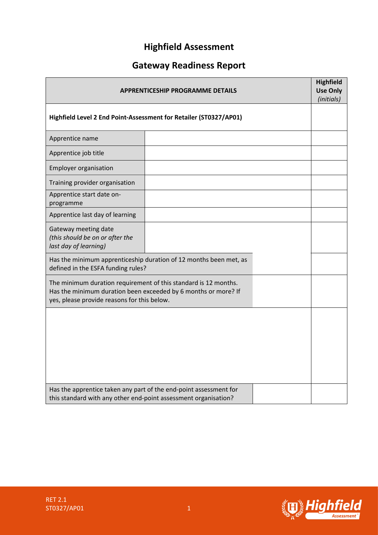# **Highfield Assessment**

# **Gateway Readiness Report**

| <b>APPRENTICESHIP PROGRAMME DETAILS</b>                                                                                                                                          |                                                                   |  | <b>Highfield</b><br><b>Use Only</b><br>(initials) |
|----------------------------------------------------------------------------------------------------------------------------------------------------------------------------------|-------------------------------------------------------------------|--|---------------------------------------------------|
| Highfield Level 2 End Point-Assessment for Retailer (ST0327/AP01)                                                                                                                |                                                                   |  |                                                   |
| Apprentice name                                                                                                                                                                  |                                                                   |  |                                                   |
| Apprentice job title                                                                                                                                                             |                                                                   |  |                                                   |
| <b>Employer organisation</b>                                                                                                                                                     |                                                                   |  |                                                   |
| Training provider organisation                                                                                                                                                   |                                                                   |  |                                                   |
| Apprentice start date on-<br>programme                                                                                                                                           |                                                                   |  |                                                   |
| Apprentice last day of learning                                                                                                                                                  |                                                                   |  |                                                   |
| Gateway meeting date<br>(this should be on or after the<br>last day of learning)                                                                                                 |                                                                   |  |                                                   |
| defined in the ESFA funding rules?                                                                                                                                               | Has the minimum apprenticeship duration of 12 months been met, as |  |                                                   |
| The minimum duration requirement of this standard is 12 months.<br>Has the minimum duration been exceeded by 6 months or more? If<br>yes, please provide reasons for this below. |                                                                   |  |                                                   |
|                                                                                                                                                                                  |                                                                   |  |                                                   |
|                                                                                                                                                                                  |                                                                   |  |                                                   |
|                                                                                                                                                                                  |                                                                   |  |                                                   |
|                                                                                                                                                                                  |                                                                   |  |                                                   |
| Has the apprentice taken any part of the end-point assessment for<br>this standard with any other end-point assessment organisation?                                             |                                                                   |  |                                                   |

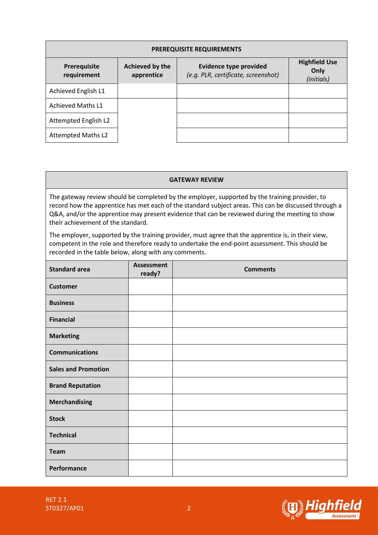| <b>PREREQUISITE REQUIREMENTS</b> |                               |                                                                      |                                            |  |  |  |
|----------------------------------|-------------------------------|----------------------------------------------------------------------|--------------------------------------------|--|--|--|
| Prerequisite<br>requirement      | Achieved by the<br>apprentice | <b>Evidence type provided</b><br>(e.g. PLR, certificate, screenshot) | <b>Highfield Use</b><br>Only<br>(initials) |  |  |  |
| Achieved English L1              |                               |                                                                      |                                            |  |  |  |
| <b>Achieved Maths L1</b>         |                               |                                                                      |                                            |  |  |  |
| Attempted English L2             |                               |                                                                      |                                            |  |  |  |
| <b>Attempted Maths L2</b>        |                               |                                                                      |                                            |  |  |  |

#### **GATEWAY REVIEW**

The gateway review should be completed by the employer, supported by the training provider, to record how the apprentice has met each of the standard subject areas. This can be discussed through a Q&A, and/or the apprentice may present evidence that can be reviewed during the meeting to show their achievement of the standard.

The employer, supported by the training provider, must agree that the apprentice is, in their view, competent in the role and therefore ready to undertake the end-point assessment. This should be recorded in the table below, along with any comments.

| <b>Standard area</b>       | <b>Assessment</b><br>ready? | <b>Comments</b> |
|----------------------------|-----------------------------|-----------------|
| <b>Customer</b>            |                             |                 |
| <b>Business</b>            |                             |                 |
| <b>Financial</b>           |                             |                 |
| <b>Marketing</b>           |                             |                 |
| <b>Communications</b>      |                             |                 |
| <b>Sales and Promotion</b> |                             |                 |
| <b>Brand Reputation</b>    |                             |                 |
| <b>Merchandising</b>       |                             |                 |
| <b>Stock</b>               |                             |                 |
| <b>Technical</b>           |                             |                 |
| <b>Team</b>                |                             |                 |
| Performance                |                             |                 |

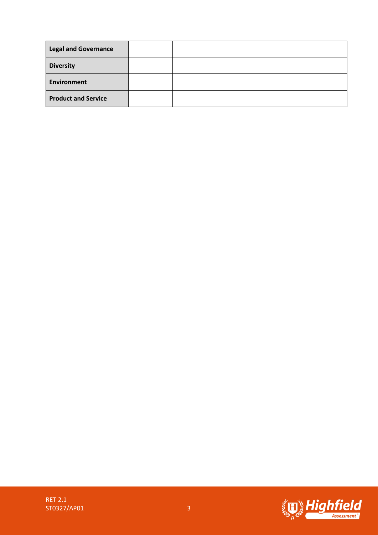| <b>Legal and Governance</b> |  |
|-----------------------------|--|
| <b>Diversity</b>            |  |
| Environment                 |  |
| <b>Product and Service</b>  |  |